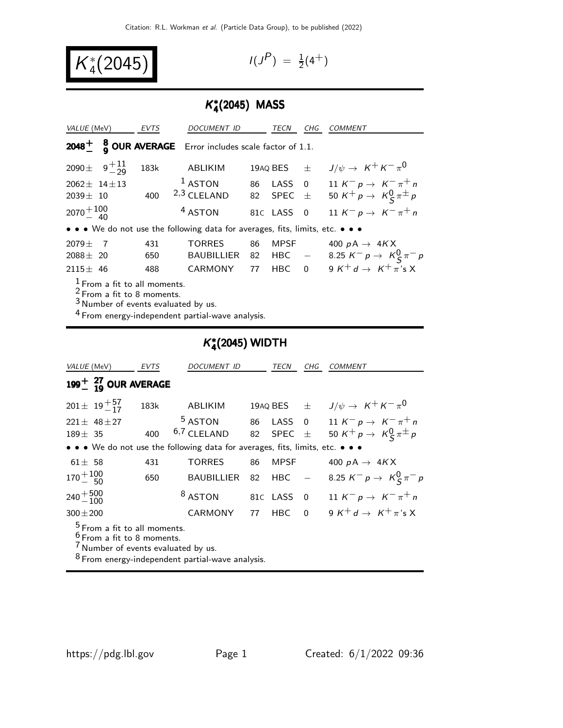K ∗  $\binom{1}{4}(2045)$ 

$$
I(J^P) = \frac{1}{2}(4^+)
$$

# K ∗ 4 (2045) MASS

| VALUE (MeV)                                                                                                                                                            |                                                        | <b>EVTS</b> | <b>DOCUMENT ID</b>                                                                 |    | TECN           | CHG | <i>COMMENT</i>                                                              |
|------------------------------------------------------------------------------------------------------------------------------------------------------------------------|--------------------------------------------------------|-------------|------------------------------------------------------------------------------------|----|----------------|-----|-----------------------------------------------------------------------------|
|                                                                                                                                                                        |                                                        |             | <b>2048</b> $\frac{1}{2}$ <b>8 OUR AVERAGE</b> Error includes scale factor of 1.1. |    |                |     |                                                                             |
|                                                                                                                                                                        | 2090 $\pm$ 9 <sup><math>+11</math></sup> <sub>29</sub> | 183k        | ABLIKIM                                                                            |    | 19AQ BES $\pm$ |     | $J/\psi \rightarrow K^+ K^- \pi^0$                                          |
| $2062 \pm 14 \pm 13$                                                                                                                                                   |                                                        |             | $1$ ASTON                                                                          |    | 86 LASS 0      |     | 11 K <sup>-</sup> p $\rightarrow$ K <sup>-</sup> $\pi$ <sup>+</sup> n       |
| $2039 \pm 10$                                                                                                                                                          |                                                        |             | 400 $2,3$ CLELAND                                                                  |    | 82 SPEC $\pm$  |     | 50 K <sup>+</sup> p $\rightarrow$ K <sup>0</sup> <sub>S</sub> $\pi^{\pm}$ p |
| $2070 + 100$                                                                                                                                                           |                                                        |             | <sup>4</sup> ASTON                                                                 |    | 81C LASS 0     |     | 11 $K^- p \to K^- \pi^+ n$                                                  |
| • • • We do not use the following data for averages, fits, limits, etc. • • •                                                                                          |                                                        |             |                                                                                    |    |                |     |                                                                             |
| $2079 \pm 1$                                                                                                                                                           | $\overline{7}$                                         | 431         | <b>TORRES</b>                                                                      | 86 | <b>MPSF</b>    |     | 400 $pA \rightarrow 4KX$                                                    |
| $2088 \pm 20$                                                                                                                                                          |                                                        | 650         | BAUBILLIER                                                                         |    |                |     | 82 HBC $-$ 8.25 $K^- p \to K^0_S \pi^- p$                                   |
| $2115 \pm 46$                                                                                                                                                          |                                                        | 488         | CARMONY                                                                            | 77 |                |     | HBC 0 9 $K^+d \rightarrow K^+\pi^*$ s X                                     |
| $1$ From a fit to all moments.<br>$2$ From a fit to 8 moments.<br>$3$ Number of events evaluated by us.<br><sup>4</sup> From energy-independent partial-wave analysis. |                                                        |             |                                                                                    |    |                |     |                                                                             |

# K ∗ 4 (2045) WIDTH

| VALUE (MeV)                                                                                                                                                                          | EVTS | DOCUMENT ID        |    | TECN                 | CHG                        | <i>COMMENT</i>                                                              |
|--------------------------------------------------------------------------------------------------------------------------------------------------------------------------------------|------|--------------------|----|----------------------|----------------------------|-----------------------------------------------------------------------------|
| $199+$ $^{27}_{19}$ OUR AVERAGE                                                                                                                                                      |      |                    |    |                      |                            |                                                                             |
| $201 \pm 19^{+57}_{-17}$                                                                                                                                                             | 183k | ABLIKIM            |    | 19aq BES $\quad \pm$ |                            | $J/\psi \rightarrow K^+ K^- \pi^0$                                          |
| $221 \pm 48 \pm 27$                                                                                                                                                                  |      | <sup>5</sup> ASTON |    | 86 LASS 0            |                            | 11 K <sup>-</sup> p $\rightarrow$ K <sup>-</sup> $\pi$ <sup>+</sup> n       |
| $189 \pm 35$                                                                                                                                                                         | 400  | 6,7 CLELAND        | 82 | <b>SPEC</b>          | $\pm$                      | 50 K <sup>+</sup> p $\rightarrow$ K <sup>0</sup> <sub>S</sub> $\pi^{\pm}$ p |
| • • • We do not use the following data for averages, fits, limits, etc. • • •                                                                                                        |      |                    |    |                      |                            |                                                                             |
| $61 \pm 58$                                                                                                                                                                          | 431  | <b>TORRES</b>      | 86 | <b>MPSF</b>          |                            | 400 $pA \rightarrow 4KX$                                                    |
| $170 + 100$                                                                                                                                                                          | 650  | <b>BAUBILLIER</b>  | 82 | <b>HBC</b>           | $\mathcal{L}^{\text{max}}$ | 8.25 $K^- p \to K^0_S \pi^- p$                                              |
| $240 + 500$<br>$-100$                                                                                                                                                                |      | <sup>8</sup> ASTON |    | 81C LASS             | $\overline{0}$             | 11 K <sup>-</sup> p $\rightarrow$ K <sup>-</sup> $\pi$ <sup>+</sup> n       |
| $300 \pm 200$                                                                                                                                                                        |      | <b>CARMONY</b>     | 77 | <b>HBC</b>           | $\Omega$                   | 9 K <sup>+</sup> d $\rightarrow$ K <sup>+</sup> $\pi$ 's X                  |
| <sup>5</sup> From a fit to all moments.<br><sup>6</sup> From a fit to 8 moments.<br>Wumber of events evaluated by us.<br><sup>8</sup> From energy-independent partial-wave analysis. |      |                    |    |                      |                            |                                                                             |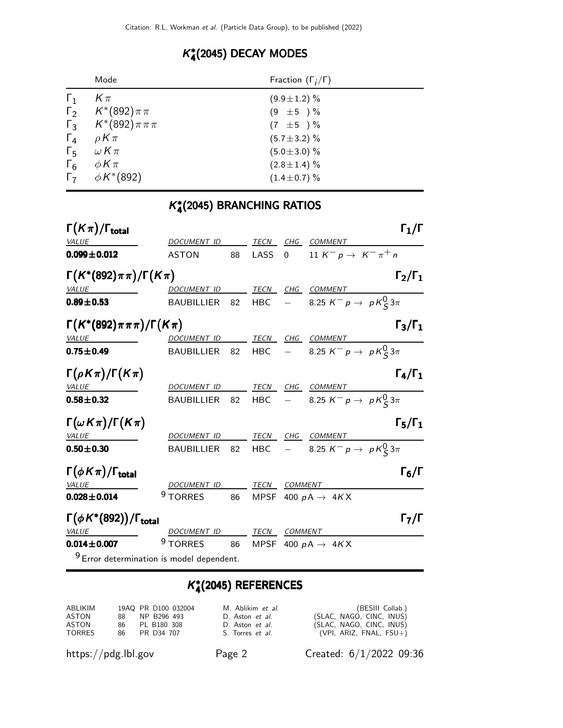# K ∗ 4 (2045) DECAY MODES

|              | Mode                           | Fraction $(\Gamma_i/\Gamma)$ |
|--------------|--------------------------------|------------------------------|
| $\mathbf{1}$ | $K \pi$                        | $(9.9 \pm 1.2)$ %            |
|              | $\Gamma_2$ $K^*(892)\pi\pi$    | $(9 \pm 5) \%$               |
|              | $\Gamma_3$ $K^*(892)\pi\pi\pi$ | $(7 \pm 5) \%$               |
|              | $\Gamma_4$ $\rho K \pi$        | $(5.7 \pm 3.2)$ %            |
| $\Gamma_5$   | $\omega$ K $\pi$               | $(5.0 \pm 3.0)$ %            |
| $\Gamma_6$   | $\phi K \pi$                   | $(2.8 \pm 1.4)$ %            |
|              | $\Gamma_7$ $\phi K^*(892)$     | $(1.4 \pm 0.7)\%$            |

# K ∗ 4 (2045) BRANCHING RATIOS

| $\Gamma(K\pi)/\Gamma_{\rm total}$                    |                                                      |                                                      |         |                   | $\Gamma_1/\Gamma$                                          |
|------------------------------------------------------|------------------------------------------------------|------------------------------------------------------|---------|-------------------|------------------------------------------------------------|
| <b>VALUE</b>                                         | DOCUMENT ID TECN CHG COMMENT                         |                                                      |         |                   |                                                            |
| $0.099 \pm 0.012$                                    | <b>ASTON</b>                                         |                                                      | 88 LASS | $0 \qquad \qquad$ | 11 $K^- p \to K^- \pi^+ n$                                 |
| $\Gamma(K^*(892)\pi\pi)/\Gamma(K\pi)$                |                                                      |                                                      |         |                   | $\Gamma_2/\Gamma_1$                                        |
| VALUE                                                | DOCUMENT ID TECN CHG COMMENT                         |                                                      |         |                   |                                                            |
| $0.89 \pm 0.53$                                      | <b>BAUBILLIER</b>                                    |                                                      |         |                   | 82 HBC $-$ 8.25 $K^- p \to pK^0_S 3\pi$                    |
| $\Gamma(K^*(892)\pi\pi\pi)/\Gamma(K\pi)$             |                                                      |                                                      |         |                   | $\Gamma_3/\Gamma_1$                                        |
| VALUE                                                | DOCUMENT ID TECN CHG COMMENT                         |                                                      |         |                   |                                                            |
| $0.75 \pm 0.49$                                      | BAUBILLIER                                           |                                                      |         |                   | 82 HBC $-$ 8.25 $K^- p \to pK^0_S 3\pi$                    |
| $\Gamma(\rho K \pi)/\Gamma(K \pi)$                   |                                                      |                                                      |         |                   | $\Gamma_4/\Gamma_1$                                        |
| <i>VALUE</i><br>$\overline{\phantom{a}}$             | DOCUMENT ID TECN CHG COMMENT                         |                                                      |         |                   |                                                            |
| $0.58 \pm 0.32$                                      |                                                      |                                                      |         |                   | BAUBILLIER 82 HBC $-$ 8.25 $K^- p \rightarrow pK^0_S 3\pi$ |
| $\Gamma(\omega K\pi)/\Gamma(K\pi)$                   |                                                      |                                                      |         |                   | $\Gamma_5/\Gamma_1$                                        |
| <b>VALUE</b>                                         | DOCUMENT ID TECN                                     |                                                      |         |                   | CHG COMMENT                                                |
| $0.50 \pm 0.30$                                      | <b>BAUBILLIER</b>                                    |                                                      |         |                   | 82 HBC $-$ 8.25 $K^- p \to pK^0_S 3\pi$                    |
| $\Gamma(\phi K \pi)/\Gamma_{\rm total}$              |                                                      |                                                      |         |                   | $\Gamma_6/\Gamma$                                          |
| <u>VALUE</u>                                         | DOCUMENT ID TECN COMMENT                             |                                                      |         |                   |                                                            |
| $0.028 \pm 0.014$                                    | <sup>9</sup> TORRES 86 MPSF 400 $pA \rightarrow 4KX$ |                                                      |         |                   |                                                            |
| $\Gamma(\phi K^*(892)) / \Gamma_{\text{total}}$      |                                                      |                                                      |         |                   | $\mathsf{\Gamma}_7/\mathsf{\Gamma}$                        |
| VALUE                                                | DOCUMENT ID TECN COMMENT                             |                                                      |         |                   |                                                            |
| $0.014 \pm 0.007$                                    |                                                      | <sup>9</sup> TORRES 86 MPSF 400 $pA \rightarrow 4KX$ |         |                   |                                                            |
| <sup>9</sup> Error determination is model dependent. |                                                      |                                                      |         |                   |                                                            |

# K ∗ 4 (2045) REFERENCES

| ABLIKIM       |     | 19AQ PR D100 032004 | M. Ablikim et al.       | (BESIII Collab.)           |
|---------------|-----|---------------------|-------------------------|----------------------------|
| ASTON         | 88. | NP B296 493         | D. Aston et al.         | (SLAC, NAGO, CINC, INUS)   |
| ASTON         | 86. | PL B180 308         | D. Aston et al.         | (SLAC, NAGO, CINC, INUS)   |
| <b>TORRES</b> |     | 86 PR D34 707       | S. Torres <i>et al.</i> | (VPI, ARIZ, FNAL, $FSU+$ ) |

https://pdg.lbl.gov Page 2 Created: 6/1/2022 09:36